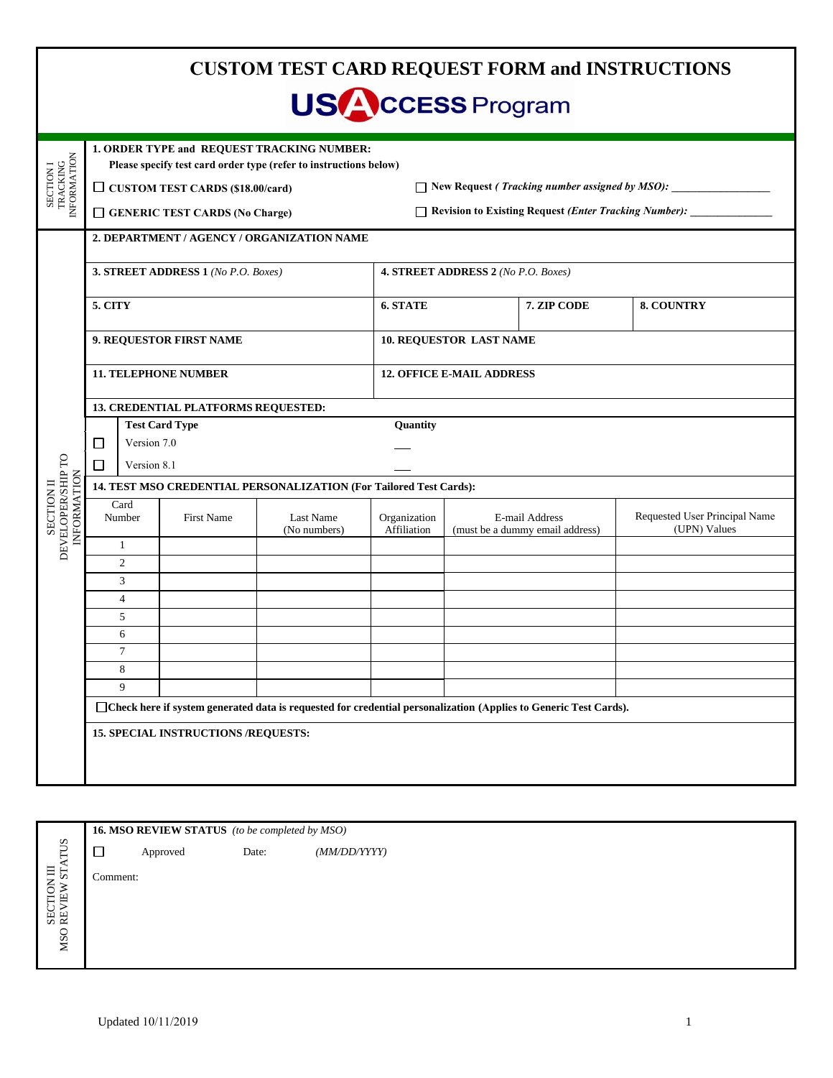|                                                |                                                                                                                    |             |                                            | <b>USACCESS Program</b>                                                                                         |                                                              |                                                                       |             | <b>CUSTOM TEST CARD REQUEST FORM and INSTRUCTIONS</b> |  |  |
|------------------------------------------------|--------------------------------------------------------------------------------------------------------------------|-------------|--------------------------------------------|-----------------------------------------------------------------------------------------------------------------|--------------------------------------------------------------|-----------------------------------------------------------------------|-------------|-------------------------------------------------------|--|--|
| SECTION I<br>TRACKING<br>INFORMATION           |                                                                                                                    |             | $\Box$ CUSTOM TEST CARDS (\$18.00/card)    | 1. ORDER TYPE and REQUEST TRACKING NUMBER:<br>Please specify test card order type (refer to instructions below) |                                                              | $\Box$ New Request ( <i>Tracking number assigned by MSO</i> ): $\Box$ |             |                                                       |  |  |
|                                                | GENERIC TEST CARDS (No Charge)                                                                                     |             |                                            |                                                                                                                 | <b>Revision to Existing Request (Enter Tracking Number):</b> |                                                                       |             |                                                       |  |  |
| DEVELOPER/SHIP TO<br>INFORMATION<br>SECTION II | 2. DEPARTMENT / AGENCY / ORGANIZATION NAME                                                                         |             |                                            |                                                                                                                 |                                                              |                                                                       |             |                                                       |  |  |
|                                                | 3. STREET ADDRESS 1 (No P.O. Boxes)                                                                                |             |                                            |                                                                                                                 | 4. STREET ADDRESS 2 (No P.O. Boxes)                          |                                                                       |             |                                                       |  |  |
|                                                | 5. CITY                                                                                                            |             |                                            |                                                                                                                 | 6. STATE                                                     |                                                                       | 7. ZIP CODE | 8. COUNTRY                                            |  |  |
|                                                | 9. REQUESTOR FIRST NAME                                                                                            |             |                                            |                                                                                                                 | <b>10. REQUESTOR LAST NAME</b>                               |                                                                       |             |                                                       |  |  |
|                                                | <b>11. TELEPHONE NUMBER</b>                                                                                        |             |                                            |                                                                                                                 | <b>12. OFFICE E-MAIL ADDRESS</b>                             |                                                                       |             |                                                       |  |  |
|                                                | 13. CREDENTIAL PLATFORMS REQUESTED:                                                                                |             |                                            |                                                                                                                 |                                                              |                                                                       |             |                                                       |  |  |
|                                                | <b>Test Card Type</b>                                                                                              |             |                                            |                                                                                                                 | Quantity                                                     |                                                                       |             |                                                       |  |  |
|                                                | Version 7.0<br>□                                                                                                   |             |                                            |                                                                                                                 |                                                              |                                                                       |             |                                                       |  |  |
|                                                | $\Box$                                                                                                             | Version 8.1 |                                            |                                                                                                                 |                                                              |                                                                       |             |                                                       |  |  |
|                                                | 14. TEST MSO CREDENTIAL PERSONALIZATION (For Tailored Test Cards):                                                 |             |                                            |                                                                                                                 |                                                              |                                                                       |             |                                                       |  |  |
|                                                | Card<br>Number                                                                                                     |             | <b>First Name</b>                          | Last Name<br>(No numbers)                                                                                       | Organization<br>Affiliation                                  | E-mail Address<br>(must be a dummy email address)                     |             | Requested User Principal Name<br>(UPN) Values         |  |  |
|                                                | $\mathbf{1}$                                                                                                       |             |                                            |                                                                                                                 |                                                              |                                                                       |             |                                                       |  |  |
|                                                | $\mathfrak{2}$<br>3                                                                                                |             |                                            |                                                                                                                 |                                                              |                                                                       |             |                                                       |  |  |
|                                                | $\overline{4}$                                                                                                     |             |                                            |                                                                                                                 |                                                              |                                                                       |             |                                                       |  |  |
|                                                | 5                                                                                                                  |             |                                            |                                                                                                                 |                                                              |                                                                       |             |                                                       |  |  |
|                                                | 6                                                                                                                  |             |                                            |                                                                                                                 |                                                              |                                                                       |             |                                                       |  |  |
|                                                | $7\phantom{.0}$                                                                                                    |             |                                            |                                                                                                                 |                                                              |                                                                       |             |                                                       |  |  |
|                                                | 8                                                                                                                  |             |                                            |                                                                                                                 |                                                              |                                                                       |             |                                                       |  |  |
|                                                | 9                                                                                                                  |             |                                            |                                                                                                                 |                                                              |                                                                       |             |                                                       |  |  |
|                                                | □ Check here if system generated data is requested for credential personalization (Applies to Generic Test Cards). |             |                                            |                                                                                                                 |                                                              |                                                                       |             |                                                       |  |  |
|                                                |                                                                                                                    |             | <b>15. SPECIAL INSTRUCTIONS /REQUESTS:</b> |                                                                                                                 |                                                              |                                                                       |             |                                                       |  |  |
|                                                |                                                                                                                    |             |                                            |                                                                                                                 |                                                              |                                                                       |             |                                                       |  |  |

| ST!<br>ī<br>5V<br>E<br>- |
|--------------------------|
|--------------------------|

**16. MSO REVIEW STATUS** *(to be completed by MSO)*  $\Box$ Approved Date: *(MM/DD/YYYY)*

Comment: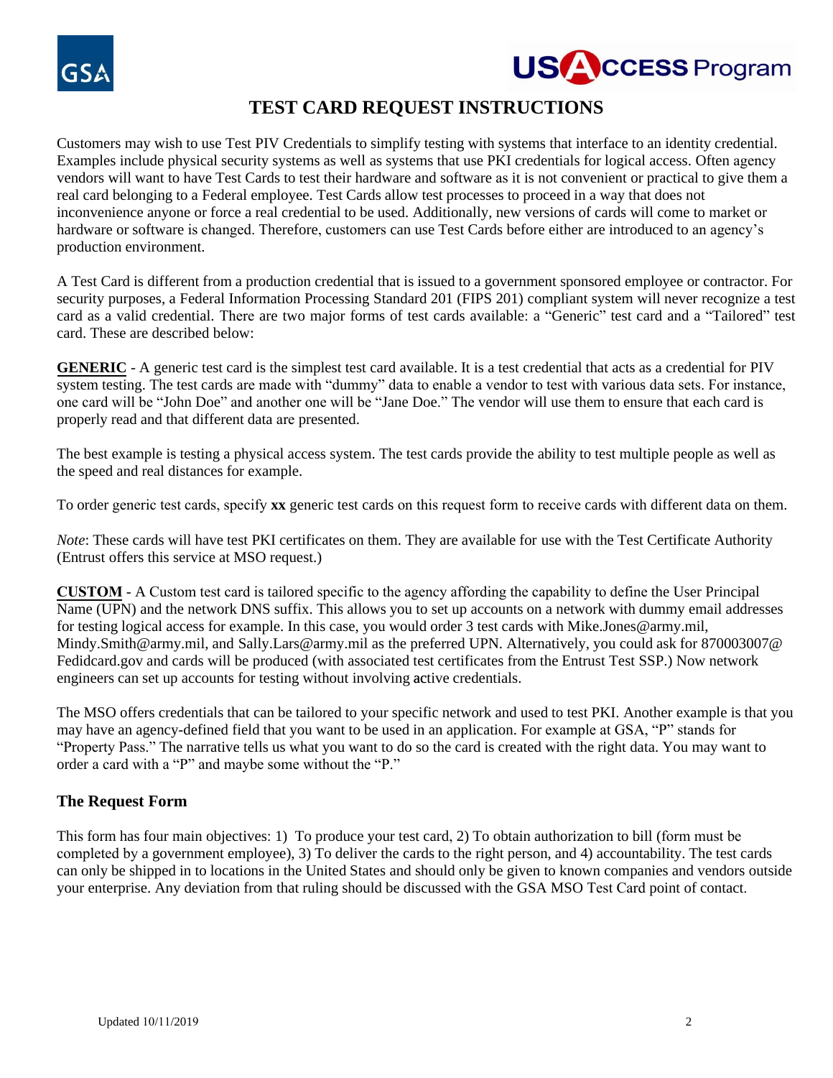

# **TEST CARD REQUEST INSTRUCTIONS**

Customers may wish to use Test PIV Credentials to simplify testing with systems that interface to an identity credential. Examples include physical security systems as well as systems that use PKI credentials for logical access. Often agency vendors will want to have Test Cards to test their hardware and software as it is not convenient or practical to give them a real card belonging to a Federal employee. Test Cards allow test processes to proceed in a way that does not inconvenience anyone or force a real credential to be used. Additionally, new versions of cards will come to market or hardware or software is changed. Therefore, customers can use Test Cards before either are introduced to an agency's production environment.

A Test Card is different from a production credential that is issued to a government sponsored employee or contractor. For security purposes, a Federal Information Processing Standard 201 (FIPS 201) compliant system will never recognize a test card as a valid credential. There are two major forms of test cards available: a "Generic" test card and a "Tailored" test card. These are described below:

**GENERIC** - A generic test card is the simplest test card available. It is a test credential that acts as a credential for PIV system testing. The test cards are made with "dummy" data to enable a vendor to test with various data sets. For instance, one card will be "John Doe" and another one will be "Jane Doe." The vendor will use them to ensure that each card is properly read and that different data are presented.

The best example is testing a physical access system. The test cards provide the ability to test multiple people as well as the speed and real distances for example.

To order generic test cards, specify **xx** generic test cards on this request form to receive cards with different data on them.

*Note*: These cards will have test PKI certificates on them. They are available for use with the Test Certificate Authority (Entrust offers this service at MSO request.)

**CUSTOM** - A Custom test card is tailored specific to the agency affording the capability to define the User Principal Name (UPN) and the network DNS suffix. This allows you to set up accounts on a network with dummy email addresses for testing logical access for example. In this case, you would order 3 test cards with Mike.Jones@army.mil, Mindy.Smith@army.mil, and Sally.Lars@army.mil as the preferred UPN. Alternatively, you could ask for 870003007@ Fedidcard.gov and cards will be produced (with associated test certificates from the Entrust Test SSP.) Now network engineers can set up accounts for testing without involving active credentials.

The MSO offers credentials that can be tailored to your specific network and used to test PKI. Another example is that you may have an agency-defined field that you want to be used in an application. For example at GSA, "P" stands for "Property Pass." The narrative tells us what you want to do so the card is created with the right data. You may want to order a card with a "P" and maybe some without the "P."

## **The Request Form**

This form has four main objectives: 1) To produce your test card, 2) To obtain authorization to bill (form must be completed by a government employee), 3) To deliver the cards to the right person, and 4) accountability. The test cards can only be shipped in to locations in the United States and should only be given to known companies and vendors outside your enterprise. Any deviation from that ruling should be discussed with the GSA MSO Test Card point of contact.